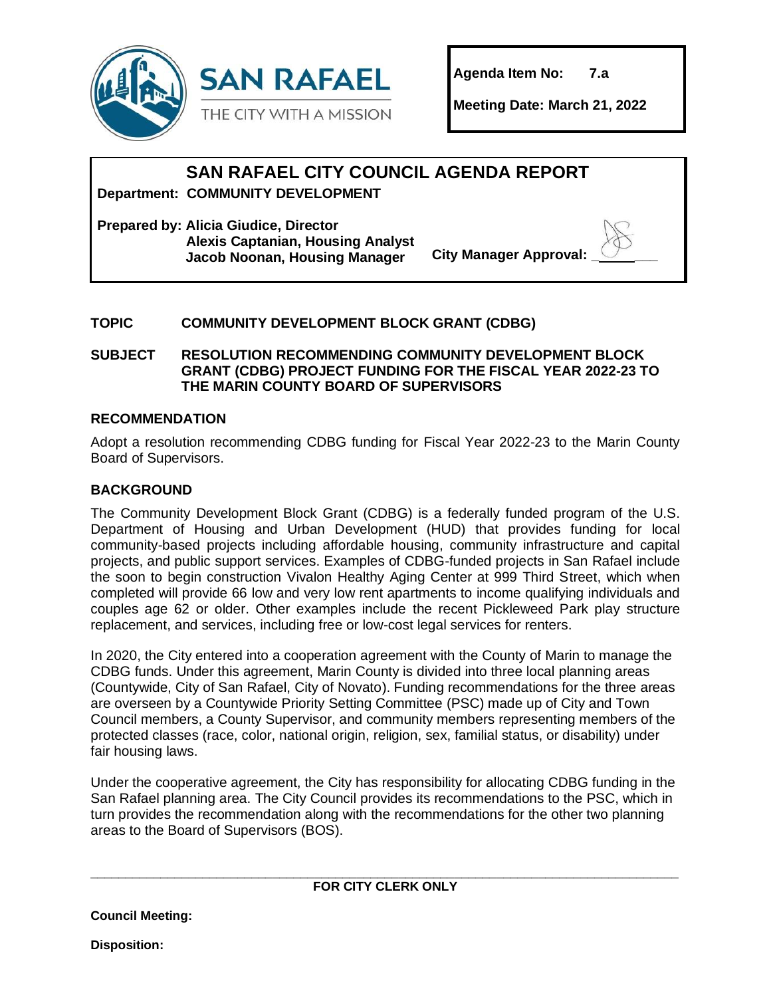

**Agenda Item No: 7.a**

**Meeting Date: March 21, 2022**

# **SAN RAFAEL CITY COUNCIL AGENDA REPORT**

**Department: COMMUNITY DEVELOPMENT**

**Prepared by: Alicia Giudice, Director Alexis Captanian, Housing Analyst Jacob Noonan, Housing Manager City Manager Approval: \_ \_\_\_**

# **TOPIC COMMUNITY DEVELOPMENT BLOCK GRANT (CDBG)**

**SUBJECT RESOLUTION RECOMMENDING COMMUNITY DEVELOPMENT BLOCK GRANT (CDBG) PROJECT FUNDING FOR THE FISCAL YEAR 2022-23 TO THE MARIN COUNTY BOARD OF SUPERVISORS**

# **RECOMMENDATION**

Adopt a resolution recommending CDBG funding for Fiscal Year 2022-23 to the Marin County Board of Supervisors.

# **BACKGROUND**

The Community Development Block Grant (CDBG) is a federally funded program of the U.S. Department of Housing and Urban Development (HUD) that provides funding for local community-based projects including affordable housing, community infrastructure and capital projects, and public support services. Examples of CDBG-funded projects in San Rafael include the soon to begin construction Vivalon Healthy Aging Center at 999 Third Street, which when completed will provide 66 low and very low rent apartments to income qualifying individuals and couples age 62 or older. Other examples include the recent Pickleweed Park play structure replacement, and services, including free or low-cost legal services for renters.

In 2020, the City entered into a cooperation agreement with the County of Marin to manage the CDBG funds. Under this agreement, Marin County is divided into three local planning areas (Countywide, City of San Rafael, City of Novato). Funding recommendations for the three areas are overseen by a Countywide Priority Setting Committee (PSC) made up of City and Town Council members, a County Supervisor, and community members representing members of the protected classes (race, color, national origin, religion, sex, familial status, or disability) under fair housing laws.

Under the cooperative agreement, the City has responsibility for allocating CDBG funding in the San Rafael planning area. The City Council provides its recommendations to the PSC, which in turn provides the recommendation along with the recommendations for the other two planning areas to the Board of Supervisors (BOS).

**Council Meeting:** 

**Disposition:**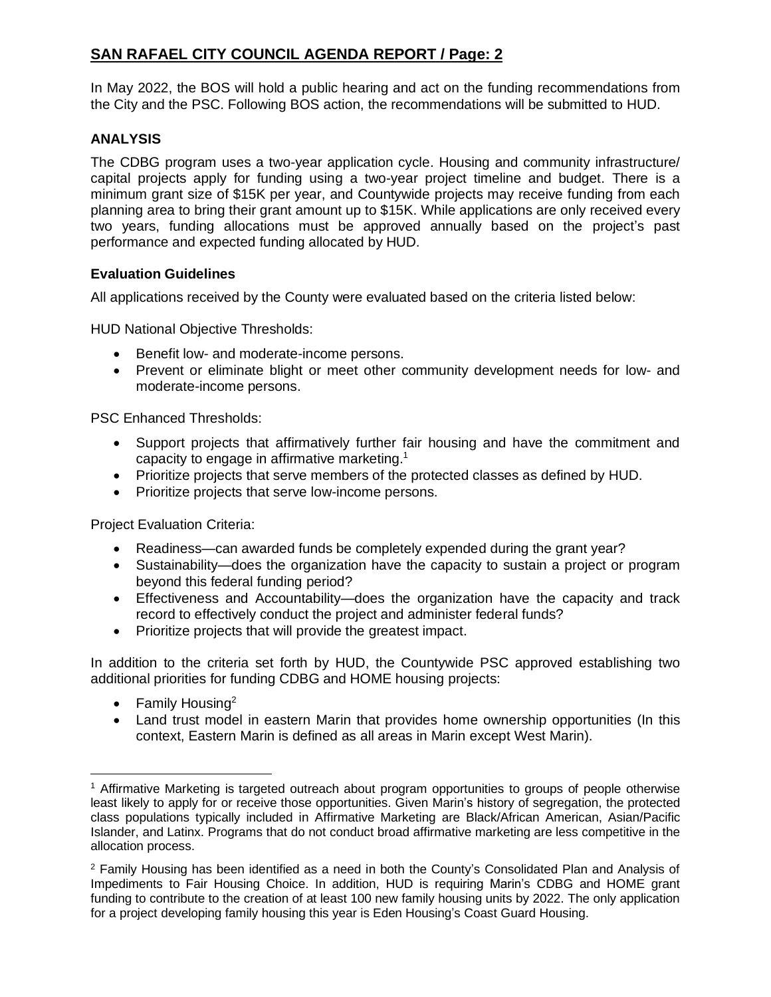In May 2022, the BOS will hold a public hearing and act on the funding recommendations from the City and the PSC. Following BOS action, the recommendations will be submitted to HUD.

# **ANALYSIS**

The CDBG program uses a two-year application cycle. Housing and community infrastructure/ capital projects apply for funding using a two-year project timeline and budget. There is a minimum grant size of \$15K per year, and Countywide projects may receive funding from each planning area to bring their grant amount up to \$15K. While applications are only received every two years, funding allocations must be approved annually based on the project's past performance and expected funding allocated by HUD.

# **Evaluation Guidelines**

All applications received by the County were evaluated based on the criteria listed below:

HUD National Objective Thresholds:

- Benefit low- and moderate-income persons.
- Prevent or eliminate blight or meet other community development needs for low- and moderate-income persons.

PSC Enhanced Thresholds:

- Support projects that affirmatively further fair housing and have the commitment and capacity to engage in affirmative marketing. 1
- Prioritize projects that serve members of the protected classes as defined by HUD.
- Prioritize projects that serve low-income persons.

Project Evaluation Criteria:

- Readiness—can awarded funds be completely expended during the grant year?
- Sustainability—does the organization have the capacity to sustain a project or program beyond this federal funding period?
- Effectiveness and Accountability—does the organization have the capacity and track record to effectively conduct the project and administer federal funds?
- Prioritize projects that will provide the greatest impact.

In addition to the criteria set forth by HUD, the Countywide PSC approved establishing two additional priorities for funding CDBG and HOME housing projects:

- Family Housing<sup>2</sup>
- Land trust model in eastern Marin that provides home ownership opportunities (In this context, Eastern Marin is defined as all areas in Marin except West Marin).

<sup>&</sup>lt;sup>1</sup> Affirmative Marketing is targeted outreach about program opportunities to groups of people otherwise least likely to apply for or receive those opportunities. Given Marin's history of segregation, the protected class populations typically included in Affirmative Marketing are Black/African American, Asian/Pacific Islander, and Latinx. Programs that do not conduct broad affirmative marketing are less competitive in the allocation process.

<sup>2</sup> Family Housing has been identified as a need in both the County's Consolidated Plan and Analysis of Impediments to Fair Housing Choice. In addition, HUD is requiring Marin's CDBG and HOME grant funding to contribute to the creation of at least 100 new family housing units by 2022. The only application for a project developing family housing this year is Eden Housing's Coast Guard Housing.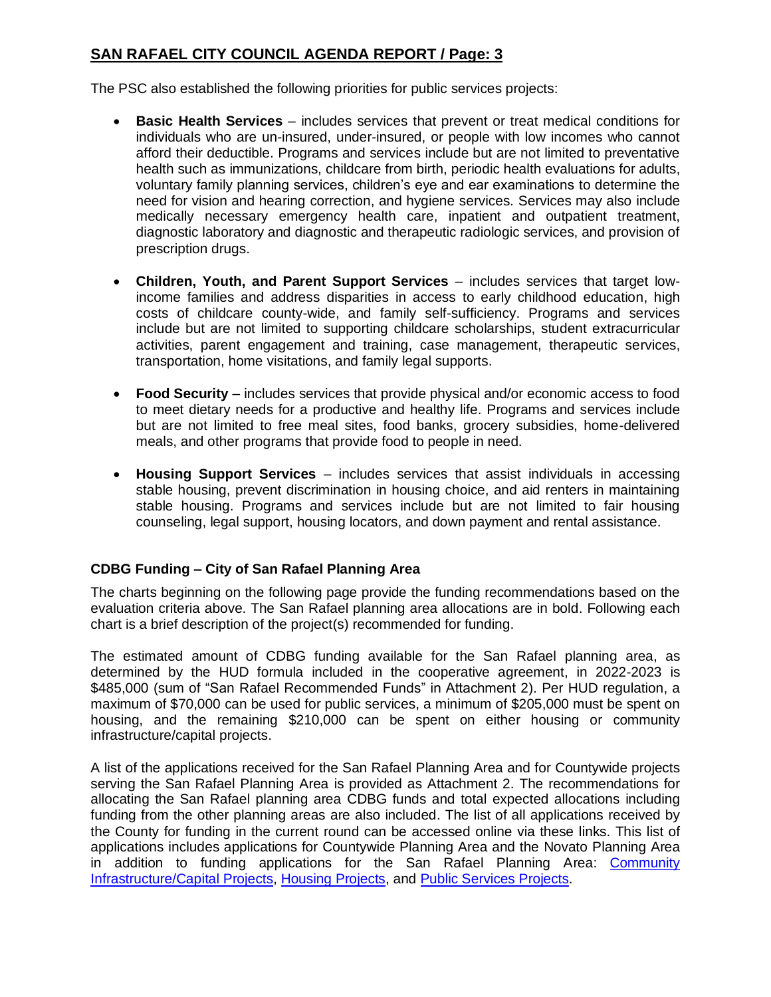The PSC also established the following priorities for public services projects:

- **Basic Health Services**  includes services that prevent or treat medical conditions for individuals who are un-insured, under-insured, or people with low incomes who cannot afford their deductible. Programs and services include but are not limited to preventative health such as immunizations, childcare from birth, periodic health evaluations for adults, voluntary family planning services, children's eye and ear examinations to determine the need for vision and hearing correction, and hygiene services. Services may also include medically necessary emergency health care, inpatient and outpatient treatment, diagnostic laboratory and diagnostic and therapeutic radiologic services, and provision of prescription drugs.
- **Children, Youth, and Parent Support Services**  includes services that target lowincome families and address disparities in access to early childhood education, high costs of childcare county-wide, and family self-sufficiency. Programs and services include but are not limited to supporting childcare scholarships, student extracurricular activities, parent engagement and training, case management, therapeutic services, transportation, home visitations, and family legal supports.
- **Food Security** includes services that provide physical and/or economic access to food to meet dietary needs for a productive and healthy life. Programs and services include but are not limited to free meal sites, food banks, grocery subsidies, home-delivered meals, and other programs that provide food to people in need.
- **Housing Support Services** includes services that assist individuals in accessing stable housing, prevent discrimination in housing choice, and aid renters in maintaining stable housing. Programs and services include but are not limited to fair housing counseling, legal support, housing locators, and down payment and rental assistance.

# **CDBG Funding – City of San Rafael Planning Area**

The charts beginning on the following page provide the funding recommendations based on the evaluation criteria above. The San Rafael planning area allocations are in bold. Following each chart is a brief description of the project(s) recommended for funding.

The estimated amount of CDBG funding available for the San Rafael planning area, as determined by the HUD formula included in the cooperative agreement, in 2022-2023 is \$485,000 (sum of "San Rafael Recommended Funds" in Attachment 2). Per HUD regulation, a maximum of \$70,000 can be used for public services, a minimum of \$205,000 must be spent on housing, and the remaining \$210,000 can be spent on either housing or community infrastructure/capital projects.

A list of the applications received for the San Rafael Planning Area and for Countywide projects serving the San Rafael Planning Area is provided as Attachment 2. The recommendations for allocating the San Rafael planning area CDBG funds and total expected allocations including funding from the other planning areas are also included. The list of all applications received by the County for funding in the current round can be accessed online via these links. This list of applications includes applications for Countywide Planning Area and the Novato Planning Area in addition to funding applications for the San Rafael Planning Area: [Community](https://www.marincounty.org/-/media/files/departments/cd/federal-grants/2022_23/application-forms/202224-cdbg-c-projects.pdf?la=en)  [Infrastructure/Capital Projects,](https://www.marincounty.org/-/media/files/departments/cd/federal-grants/2022_23/application-forms/202224-cdbg-c-projects.pdf?la=en) [Housing Projects,](https://www.marincounty.org/-/media/files/departments/cd/federal-grants/2022_23/application-forms/202224-cdbg-and-home-housing-projects.pdf?la=en) and [Public Services Projects.](https://www.marincounty.org/-/media/files/departments/cd/federal-grants/2022_23/application-forms/202224-cdbg-ps-projects.pdf?la=en)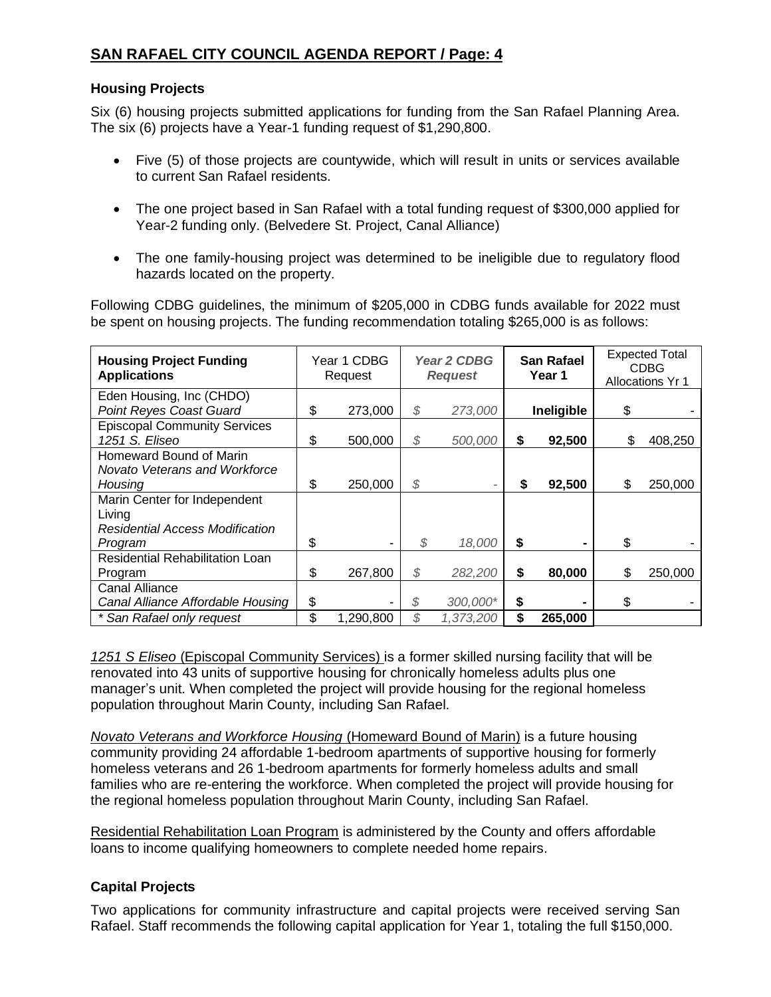# **Housing Projects**

Six (6) housing projects submitted applications for funding from the San Rafael Planning Area. The six (6) projects have a Year-1 funding request of \$1,290,800.

- Five (5) of those projects are countywide, which will result in units or services available to current San Rafael residents.
- The one project based in San Rafael with a total funding request of \$300,000 applied for Year-2 funding only. (Belvedere St. Project, Canal Alliance)
- The one family-housing project was determined to be ineligible due to regulatory flood hazards located on the property.

Following CDBG guidelines, the minimum of \$205,000 in CDBG funds available for 2022 must be spent on housing projects. The funding recommendation totaling \$265,000 is as follows:

| <b>Housing Project Funding</b><br><b>Applications</b> | Year 1 CDBG<br>Request | Year 2 CDBG<br><b>Request</b> |           | <b>San Rafael</b><br>Year 1 |            | <b>Expected Total</b><br><b>CDBG</b><br>Allocations Yr 1 |
|-------------------------------------------------------|------------------------|-------------------------------|-----------|-----------------------------|------------|----------------------------------------------------------|
| Eden Housing, Inc (CHDO)                              |                        |                               |           |                             |            |                                                          |
| <b>Point Reyes Coast Guard</b>                        | \$<br>273,000          | \$                            | 273,000   |                             | Ineligible | \$                                                       |
| <b>Episcopal Community Services</b>                   |                        |                               |           |                             |            |                                                          |
| 1251 S. Eliseo                                        | \$<br>500,000          | \$                            | 500,000   | \$                          | 92,500     | \$<br>408,250                                            |
| Homeward Bound of Marin                               |                        |                               |           |                             |            |                                                          |
| <b>Novato Veterans and Workforce</b>                  |                        |                               |           |                             |            |                                                          |
| Housina                                               | \$<br>250,000          | \$                            |           | \$                          | 92,500     | \$<br>250,000                                            |
| Marin Center for Independent                          |                        |                               |           |                             |            |                                                          |
| Living                                                |                        |                               |           |                             |            |                                                          |
| <b>Residential Access Modification</b>                |                        |                               |           |                             |            |                                                          |
| Program                                               | \$                     | \$                            | 18,000    | \$                          |            | \$                                                       |
| <b>Residential Rehabilitation Loan</b>                |                        |                               |           |                             |            |                                                          |
| Program                                               | \$<br>267,800          | \$                            | 282,200   | \$                          | 80,000     | \$<br>250,000                                            |
| <b>Canal Alliance</b>                                 |                        |                               |           |                             |            |                                                          |
| Canal Alliance Affordable Housing                     | \$                     | \$                            | 300,000*  | \$                          |            | \$                                                       |
| * San Rafael only request                             | \$<br>1,290,800        | \$                            | 1,373,200 | \$                          | 265,000    |                                                          |

*1251 S Eliseo* (Episcopal Community Services) is a former skilled nursing facility that will be renovated into 43 units of supportive housing for chronically homeless adults plus one manager's unit. When completed the project will provide housing for the regional homeless population throughout Marin County, including San Rafael.

*Novato Veterans and Workforce Housing* (Homeward Bound of Marin) is a future housing community providing 24 affordable 1-bedroom apartments of supportive housing for formerly homeless veterans and 26 1-bedroom apartments for formerly homeless adults and small families who are re-entering the workforce. When completed the project will provide housing for the regional homeless population throughout Marin County, including San Rafael.

Residential Rehabilitation Loan Program is administered by the County and offers affordable loans to income qualifying homeowners to complete needed home repairs.

# **Capital Projects**

Two applications for community infrastructure and capital projects were received serving San Rafael. Staff recommends the following capital application for Year 1, totaling the full \$150,000.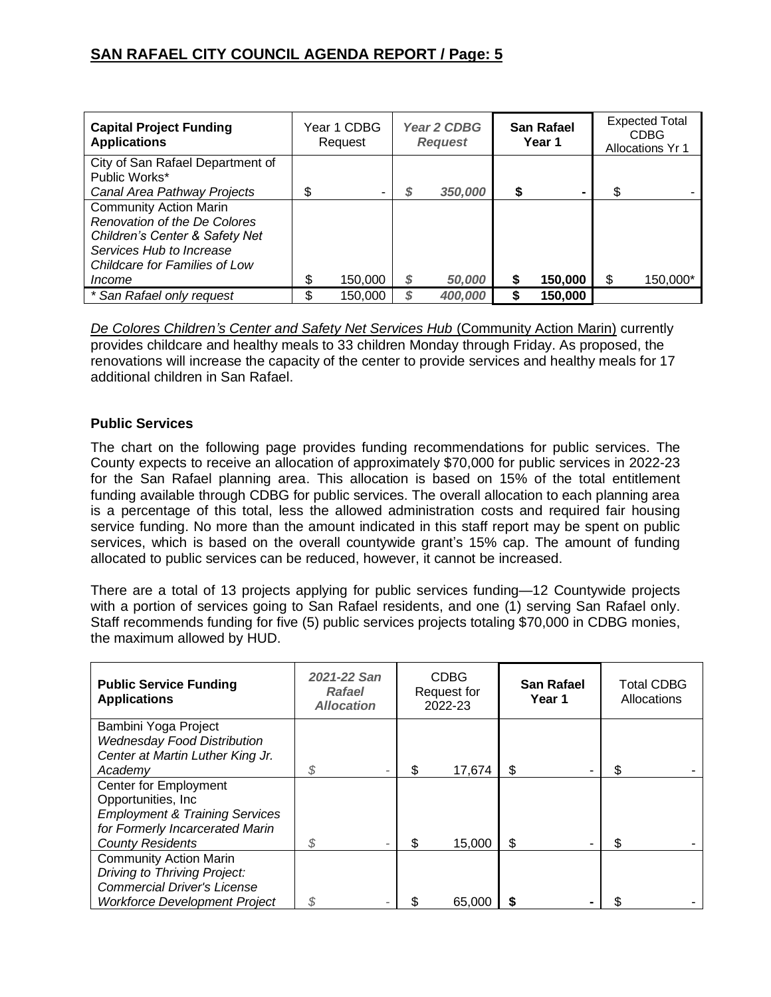| <b>Capital Project Funding</b><br><b>Applications</b> |    | Year 1 CDBG<br>Request | Year 2 CDBG<br><b>Request</b> |    | <b>San Rafael</b><br>Year 1 |    | <b>Expected Total</b><br><b>CDBG</b><br><b>Allocations Yr 1</b> |
|-------------------------------------------------------|----|------------------------|-------------------------------|----|-----------------------------|----|-----------------------------------------------------------------|
| City of San Rafael Department of<br>Public Works*     |    |                        |                               |    |                             |    |                                                                 |
| Canal Area Pathway Projects                           | \$ | ۰                      | 350,000                       | \$ | ۰                           | \$ |                                                                 |
| <b>Community Action Marin</b>                         |    |                        |                               |    |                             |    |                                                                 |
| Renovation of the De Colores                          |    |                        |                               |    |                             |    |                                                                 |
| Children's Center & Safety Net                        |    |                        |                               |    |                             |    |                                                                 |
| Services Hub to Increase                              |    |                        |                               |    |                             |    |                                                                 |
| Childcare for Families of Low                         |    |                        |                               |    |                             |    |                                                                 |
| <i>Income</i>                                         |    | 150,000                | 50,000                        | \$ | 150,000                     | S  | 150,000*                                                        |
| * San Rafael only request                             | ጦ  | 150,000                | 400,000                       | S  | 150,000                     |    |                                                                 |

*De Colores Children's Center and Safety Net Services Hub* (Community Action Marin) currently provides childcare and healthy meals to 33 children Monday through Friday. As proposed, the renovations will increase the capacity of the center to provide services and healthy meals for 17 additional children in San Rafael.

# **Public Services**

The chart on the following page provides funding recommendations for public services. The County expects to receive an allocation of approximately \$70,000 for public services in 2022-23 for the San Rafael planning area. This allocation is based on 15% of the total entitlement funding available through CDBG for public services. The overall allocation to each planning area is a percentage of this total, less the allowed administration costs and required fair housing service funding. No more than the amount indicated in this staff report may be spent on public services, which is based on the overall countywide grant's 15% cap. The amount of funding allocated to public services can be reduced, however, it cannot be increased.

There are a total of 13 projects applying for public services funding—12 Countywide projects with a portion of services going to San Rafael residents, and one (1) serving San Rafael only. Staff recommends funding for five (5) public services projects totaling \$70,000 in CDBG monies, the maximum allowed by HUD.

| <b>Public Service Funding</b><br><b>Applications</b>       | 2021-22 San<br><b>Rafael</b><br><b>Allocation</b> | <b>CDBG</b><br>Request for<br>2022-23 | <b>San Rafael</b><br>Year 1 | <b>Total CDBG</b><br><b>Allocations</b> |
|------------------------------------------------------------|---------------------------------------------------|---------------------------------------|-----------------------------|-----------------------------------------|
| Bambini Yoga Project<br><b>Wednesday Food Distribution</b> |                                                   |                                       |                             |                                         |
| Center at Martin Luther King Jr.                           |                                                   |                                       |                             |                                         |
| Academy                                                    | S                                                 | 17,674                                | \$                          | \$                                      |
| <b>Center for Employment</b>                               |                                                   |                                       |                             |                                         |
| Opportunities, Inc.                                        |                                                   |                                       |                             |                                         |
| <b>Employment &amp; Training Services</b>                  |                                                   |                                       |                             |                                         |
| for Formerly Incarcerated Marin                            |                                                   |                                       |                             |                                         |
| <b>County Residents</b>                                    |                                                   | 15,000                                | \$                          | \$                                      |
| <b>Community Action Marin</b>                              |                                                   |                                       |                             |                                         |
| Driving to Thriving Project:                               |                                                   |                                       |                             |                                         |
| <b>Commercial Driver's License</b>                         |                                                   |                                       |                             |                                         |
| Workforce Development Project                              |                                                   | 65,000                                |                             |                                         |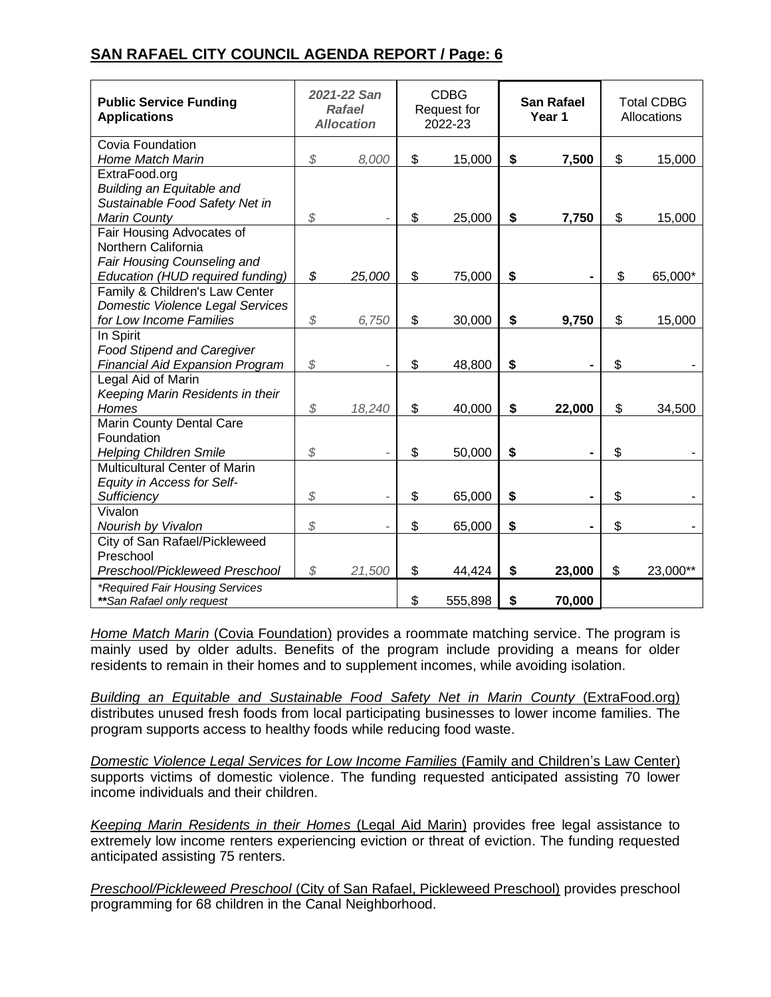| <b>Public Service Funding</b><br><b>Applications</b>                                                                |               | 2021-22 San<br><b>Rafael</b><br><b>Allocation</b> | <b>CDBG</b><br>Request for<br>2022-23 | <b>San Rafael</b><br>Year 1 | <b>Total CDBG</b><br>Allocations |
|---------------------------------------------------------------------------------------------------------------------|---------------|---------------------------------------------------|---------------------------------------|-----------------------------|----------------------------------|
| Covia Foundation<br><b>Home Match Marin</b>                                                                         | $\mathcal{L}$ | 8,000                                             | \$<br>15,000                          | \$<br>7,500                 | \$<br>15,000                     |
| ExtraFood.org<br><b>Building an Equitable and</b><br>Sustainable Food Safety Net in<br><b>Marin County</b>          | \$            |                                                   | \$<br>25,000                          | \$<br>7,750                 | \$<br>15,000                     |
| Fair Housing Advocates of<br>Northern California<br>Fair Housing Counseling and<br>Education (HUD required funding) | \$            | 25,000                                            | \$<br>75,000                          | \$                          | \$<br>65,000*                    |
| Family & Children's Law Center<br><b>Domestic Violence Legal Services</b><br>for Low Income Families                | $\mathcal{L}$ | 6,750                                             | \$<br>30,000                          | \$<br>9,750                 | \$<br>15,000                     |
| In Spirit<br><b>Food Stipend and Caregiver</b><br><b>Financial Aid Expansion Program</b>                            | \$            |                                                   | \$<br>48,800                          | \$                          | \$                               |
| Legal Aid of Marin<br>Keeping Marin Residents in their<br>Homes                                                     | \$            | 18,240                                            | \$<br>40,000                          | \$<br>22,000                | \$<br>34,500                     |
| Marin County Dental Care<br>Foundation<br><b>Helping Children Smile</b>                                             | \$            |                                                   | \$<br>50,000                          | \$                          | \$                               |
| <b>Multicultural Center of Marin</b><br>Equity in Access for Self-<br>Sufficiency                                   | \$            |                                                   | \$<br>65,000                          | \$                          | \$                               |
| Vivalon<br>Nourish by Vivalon<br>City of San Rafael/Pickleweed                                                      | \$            |                                                   | \$<br>65,000                          | \$                          | \$                               |
| Preschool<br>Preschool/Pickleweed Preschool                                                                         | $\mathcal{L}$ | 21,500                                            | \$<br>44,424                          | \$<br>23,000                | \$<br>23,000**                   |
| *Required Fair Housing Services<br>**San Rafael only request                                                        |               |                                                   | \$<br>555,898                         | \$<br>70,000                |                                  |

*Home Match Marin* (Covia Foundation) provides a roommate matching service. The program is mainly used by older adults. Benefits of the program include providing a means for older residents to remain in their homes and to supplement incomes, while avoiding isolation.

**Building an Equitable and Sustainable Food Safety Net in Marin County (ExtraFood.org)** distributes unused fresh foods from local participating businesses to lower income families. The program supports access to healthy foods while reducing food waste.

*Domestic Violence Legal Services for Low Income Families* (Family and Children's Law Center) supports victims of domestic violence. The funding requested anticipated assisting 70 lower income individuals and their children.

*Keeping Marin Residents in their Homes* (Legal Aid Marin) provides free legal assistance to extremely low income renters experiencing eviction or threat of eviction. The funding requested anticipated assisting 75 renters.

*Preschool/Pickleweed Preschool* (City of San Rafael, Pickleweed Preschool) provides preschool programming for 68 children in the Canal Neighborhood.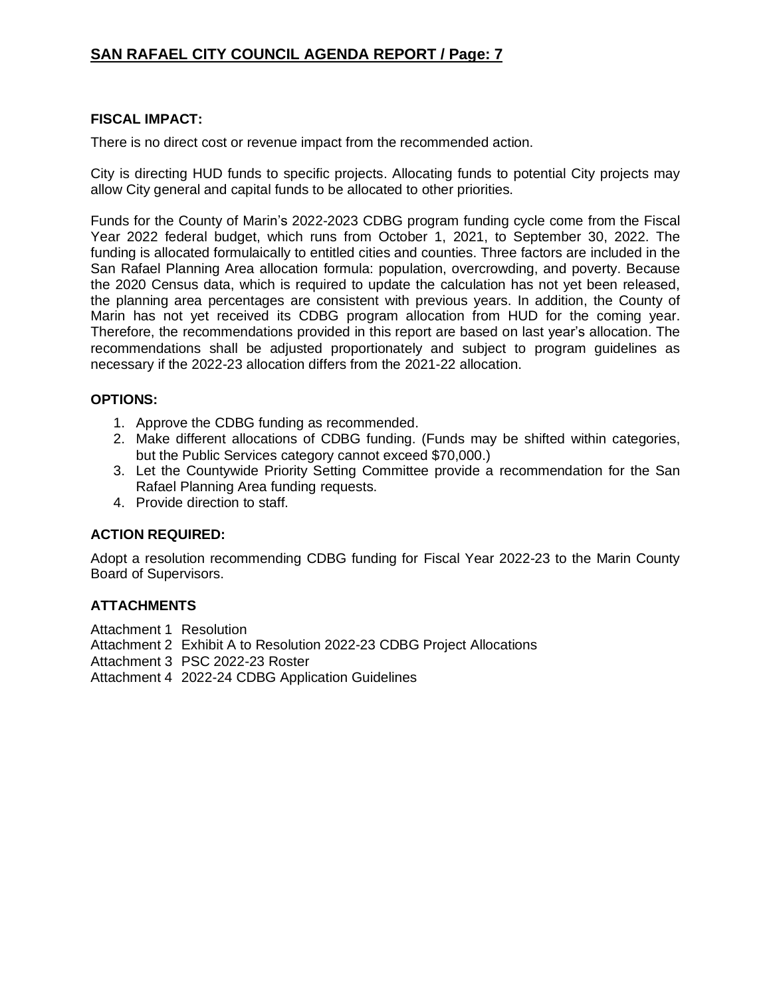# **FISCAL IMPACT:**

There is no direct cost or revenue impact from the recommended action.

City is directing HUD funds to specific projects. Allocating funds to potential City projects may allow City general and capital funds to be allocated to other priorities.

Funds for the County of Marin's 2022-2023 CDBG program funding cycle come from the Fiscal Year 2022 federal budget, which runs from October 1, 2021, to September 30, 2022. The funding is allocated formulaically to entitled cities and counties. Three factors are included in the San Rafael Planning Area allocation formula: population, overcrowding, and poverty. Because the 2020 Census data, which is required to update the calculation has not yet been released, the planning area percentages are consistent with previous years. In addition, the County of Marin has not yet received its CDBG program allocation from HUD for the coming year. Therefore, the recommendations provided in this report are based on last year's allocation. The recommendations shall be adjusted proportionately and subject to program guidelines as necessary if the 2022-23 allocation differs from the 2021-22 allocation.

# **OPTIONS:**

- 1. Approve the CDBG funding as recommended.
- 2. Make different allocations of CDBG funding. (Funds may be shifted within categories, but the Public Services category cannot exceed \$70,000.)
- 3. Let the Countywide Priority Setting Committee provide a recommendation for the San Rafael Planning Area funding requests.
- 4. Provide direction to staff.

# **ACTION REQUIRED:**

Adopt a resolution recommending CDBG funding for Fiscal Year 2022-23 to the Marin County Board of Supervisors.

# **ATTACHMENTS**

- Attachment 1 Resolution
- Attachment 2 Exhibit A to Resolution 2022-23 CDBG Project Allocations
- Attachment 3 PSC 2022-23 Roster

Attachment 4 2022-24 CDBG Application Guidelines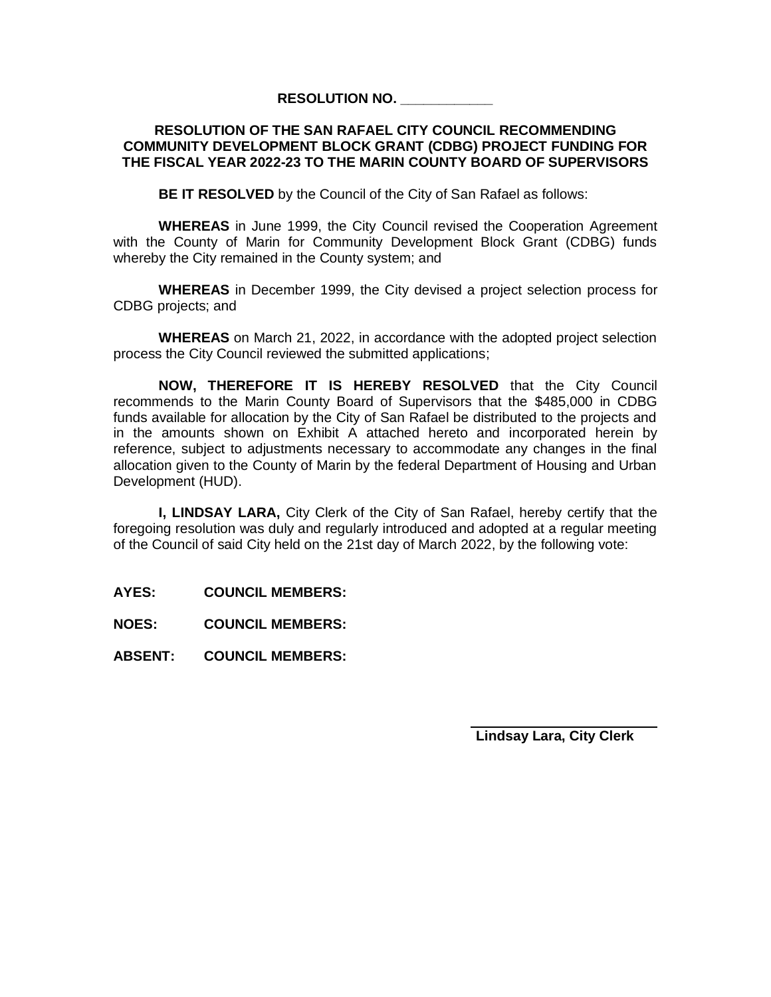## **RESOLUTION NO. \_\_\_\_\_\_\_\_\_\_\_\_**

## **RESOLUTION OF THE SAN RAFAEL CITY COUNCIL RECOMMENDING COMMUNITY DEVELOPMENT BLOCK GRANT (CDBG) PROJECT FUNDING FOR THE FISCAL YEAR 2022-23 TO THE MARIN COUNTY BOARD OF SUPERVISORS**

**BE IT RESOLVED** by the Council of the City of San Rafael as follows:

**WHEREAS** in June 1999, the City Council revised the Cooperation Agreement with the County of Marin for Community Development Block Grant (CDBG) funds whereby the City remained in the County system; and

**WHEREAS** in December 1999, the City devised a project selection process for CDBG projects; and

**WHEREAS** on March 21, 2022, in accordance with the adopted project selection process the City Council reviewed the submitted applications;

**NOW, THEREFORE IT IS HEREBY RESOLVED** that the City Council recommends to the Marin County Board of Supervisors that the \$485,000 in CDBG funds available for allocation by the City of San Rafael be distributed to the projects and in the amounts shown on Exhibit A attached hereto and incorporated herein by reference, subject to adjustments necessary to accommodate any changes in the final allocation given to the County of Marin by the federal Department of Housing and Urban Development (HUD).

**I, LINDSAY LARA,** City Clerk of the City of San Rafael, hereby certify that the foregoing resolution was duly and regularly introduced and adopted at a regular meeting of the Council of said City held on the 21st day of March 2022, by the following vote:

**AYES: COUNCIL MEMBERS:**

**NOES: COUNCIL MEMBERS:**

**ABSENT: COUNCIL MEMBERS:**

**Lindsay Lara, City Clerk**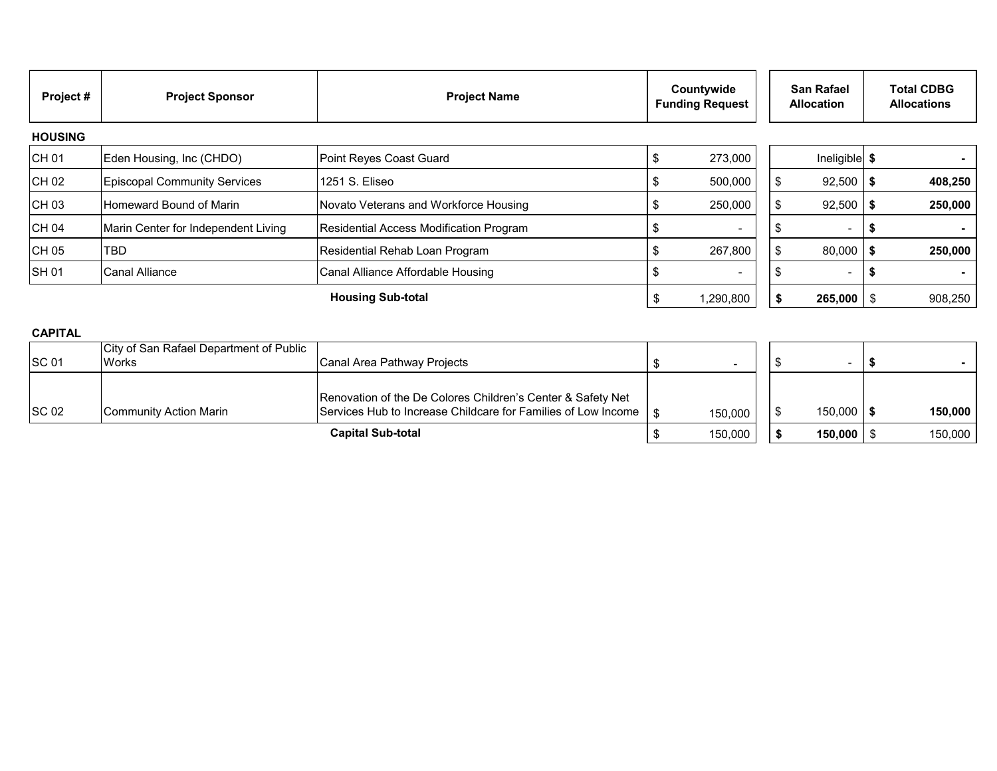| Project#       | <b>Project Sponsor</b>              | <b>Project Name</b>                     | Countywide<br><b>Funding Request</b> |                          | <b>San Rafael</b><br><b>Allocation</b> |                          | <b>Total CDBG</b><br><b>Allocations</b> |         |
|----------------|-------------------------------------|-----------------------------------------|--------------------------------------|--------------------------|----------------------------------------|--------------------------|-----------------------------------------|---------|
| <b>HOUSING</b> |                                     |                                         |                                      |                          |                                        |                          |                                         |         |
| CH 01          | Eden Housing, Inc (CHDO)            | Point Reyes Coast Guard                 |                                      | 273,000                  |                                        | Ineligible \$            |                                         |         |
| CH 02          | <b>Episcopal Community Services</b> | 1251 S. Eliseo                          |                                      | 500,000                  |                                        | 92,500                   | - 3                                     | 408,250 |
| CH 03          | Homeward Bound of Marin             | Novato Veterans and Workforce Housing   |                                      | 250,000                  |                                        | 92,500                   |                                         | 250,000 |
| CH 04          | Marin Center for Independent Living | Residential Access Modification Program |                                      |                          |                                        |                          |                                         |         |
| CH 05          | TBD                                 | Residential Rehab Loan Program          |                                      | 267,800                  |                                        | 80,000                   |                                         | 250,000 |
| <b>SH01</b>    | <b>Canal Alliance</b>               | Canal Alliance Affordable Housing       |                                      | $\overline{\phantom{0}}$ |                                        | $\overline{\phantom{0}}$ |                                         |         |
|                |                                     | <b>Housing Sub-total</b>                | J                                    | 1,290,800                |                                        | $265,000$ \ \$           |                                         | 908,250 |

## **CAPITAL**

| <b>SC 01</b> | City of San Rafael Department of Public<br><b>Works</b> | Canal Area Pathway Projects                                                                                                       |         |  |                |         |
|--------------|---------------------------------------------------------|-----------------------------------------------------------------------------------------------------------------------------------|---------|--|----------------|---------|
| <b>SC 02</b> | Community Action Marin                                  | Renovation of the De Colores Children's Center & Safety Net<br>Services Hub to Increase Childcare for Families of Low Income   \$ | 150,000 |  | $150,000$   \$ | 150,000 |
|              |                                                         | <b>Capital Sub-total</b>                                                                                                          | 150,000 |  | $150,000$   \$ | 150,000 |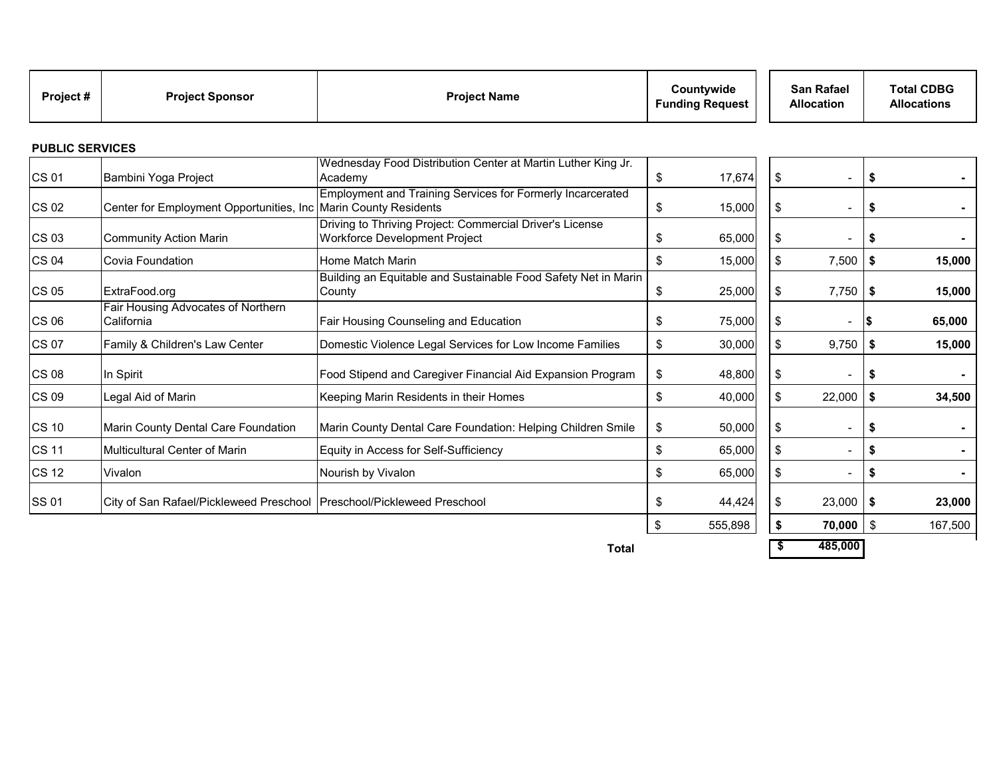| Project# | <b>Project Sponsor</b> | <b>Project Name</b> | Countywide<br><b>Funding Request</b> | <b>San Rafael</b><br><b>Allocation</b> | <b>Total CDBG</b><br><b>Allocations</b> |
|----------|------------------------|---------------------|--------------------------------------|----------------------------------------|-----------------------------------------|
|----------|------------------------|---------------------|--------------------------------------|----------------------------------------|-----------------------------------------|

#### **PUBLIC SERVICES**

| <b>CS 01</b> | Bambini Yoga Project                                                     | Wednesday Food Distribution Center at Martin Luther King Jr.<br>Academy                            | \$<br>17,674  | S   | $\overline{\phantom{0}}$     | \$   |         |
|--------------|--------------------------------------------------------------------------|----------------------------------------------------------------------------------------------------|---------------|-----|------------------------------|------|---------|
| CS 02        | Center for Employment Opportunities, Inc                                 | <b>Employment and Training Services for Formerly Incarcerated</b><br><b>Marin County Residents</b> | \$<br>15,000  | -\$ | $\overline{\phantom{0}}$     | - \$ |         |
| <b>CS 03</b> | <b>Community Action Marin</b>                                            | Driving to Thriving Project: Commercial Driver's License<br>Workforce Development Project          | \$<br>65,000  | \$  | $\qquad \qquad \blacksquare$ | - \$ |         |
| <b>CS 04</b> | Covia Foundation                                                         | Home Match Marin                                                                                   | \$<br>15,000  | \$  | 7,500                        | -\$  | 15,000  |
| <b>CS 05</b> | ExtraFood.org                                                            | Building an Equitable and Sustainable Food Safety Net in Marin<br>County                           | \$<br>25,000  | \$  | 7,750                        | l \$ | 15,000  |
| <b>CS 06</b> | Fair Housing Advocates of Northern<br>California                         | Fair Housing Counseling and Education                                                              | \$<br>75,000  | S   | Ξ.                           |      | 65,000  |
| <b>CS 07</b> | Family & Children's Law Center                                           | Domestic Violence Legal Services for Low Income Families                                           | \$<br>30,000  | \$  | 9,750                        | -\$  | 15,000  |
| <b>CS 08</b> | In Spirit                                                                | Food Stipend and Caregiver Financial Aid Expansion Program                                         | \$<br>48,800  | S   | -                            | - \$ |         |
| <b>CS 09</b> | Legal Aid of Marin                                                       | Keeping Marin Residents in their Homes                                                             | \$<br>40,000  | \$  | 22,000                       | \$   | 34,500  |
| <b>CS 10</b> | Marin County Dental Care Foundation                                      | Marin County Dental Care Foundation: Helping Children Smile                                        | \$<br>50,000  | \$  | -                            | - \$ |         |
| <b>CS 11</b> | <b>Multicultural Center of Marin</b>                                     | Equity in Access for Self-Sufficiency                                                              | \$<br>65,000  | \$  | $\overline{\phantom{0}}$     |      |         |
| <b>CS 12</b> | Vivalon                                                                  | Nourish by Vivalon                                                                                 | \$<br>65,000  | \$  | $\overline{\phantom{0}}$     |      |         |
| <b>SS 01</b> | City of San Rafael/Pickleweed Preschool   Preschool/Pickleweed Preschool |                                                                                                    | \$<br>44,424  |     | 23,000                       | l \$ | 23,000  |
|              |                                                                          |                                                                                                    | \$<br>555,898 |     | $70,000$   \$                |      | 167,500 |

**Total \$ 485,000**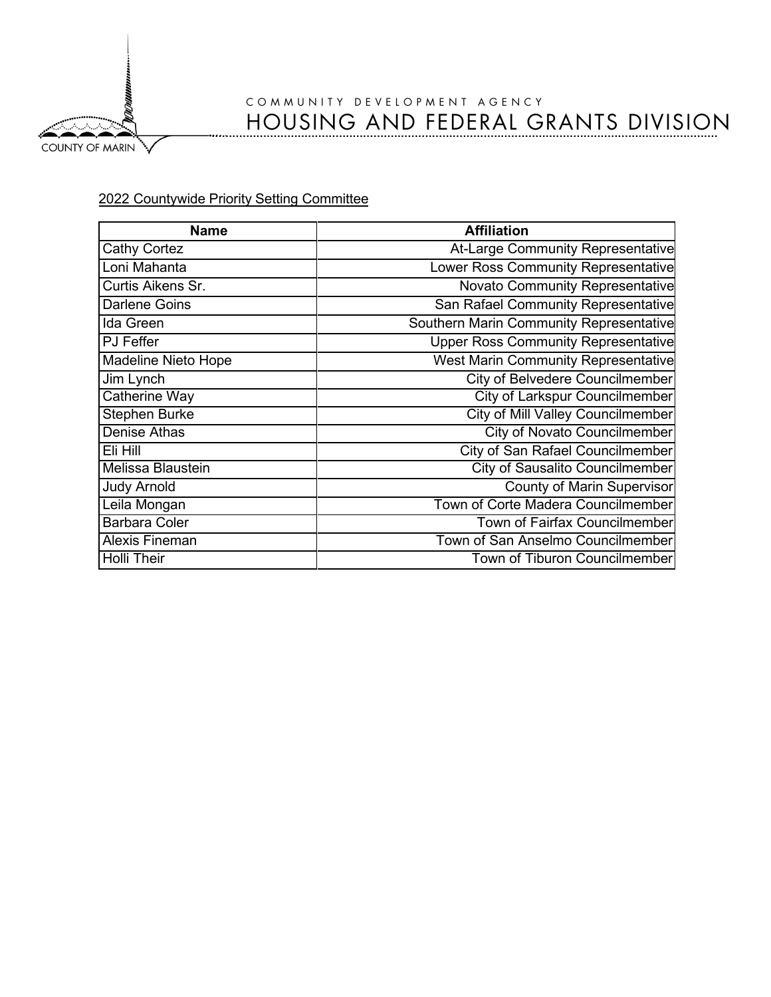COUNTY OF MARIN

# COMMUNITY DEVELOPMENT AGENCY HOUSING AND FEDERAL GRANTS DIVISION

# 2022 Countywide Priority Setting Committee

| <b>Name</b>          | <b>Affiliation</b>                         |
|----------------------|--------------------------------------------|
| Cathy Cortez         | At-Large Community Representative          |
| Loni Mahanta         | Lower Ross Community Representative        |
| Curtis Aikens Sr.    | <b>Novato Community Representative</b>     |
| <b>Darlene Goins</b> | San Rafael Community Representative        |
| Ida Green            | Southern Marin Community Representative    |
| PJ Feffer            | <b>Upper Ross Community Representative</b> |
| Madeline Nieto Hope  | West Marin Community Representative        |
| Jim Lynch            | <b>City of Belvedere Councilmember</b>     |
| <b>Catherine Way</b> | <b>City of Larkspur Councilmember</b>      |
| <b>Stephen Burke</b> | <b>City of Mill Valley Councilmember</b>   |
| Denise Athas         | <b>City of Novato Councilmember</b>        |
| Eli Hill             | <b>City of San Rafael Councilmember</b>    |
| Melissa Blaustein    | <b>City of Sausalito Councilmember</b>     |
| <b>Judy Arnold</b>   | <b>County of Marin Supervisor</b>          |
| Leila Mongan         | Town of Corte Madera Councilmember         |
| <b>Barbara Coler</b> | <b>Town of Fairfax Councilmember</b>       |
| Alexis Fineman       | Town of San Anselmo Councilmember          |
| <b>Holli Their</b>   | Town of Tiburon Councilmember              |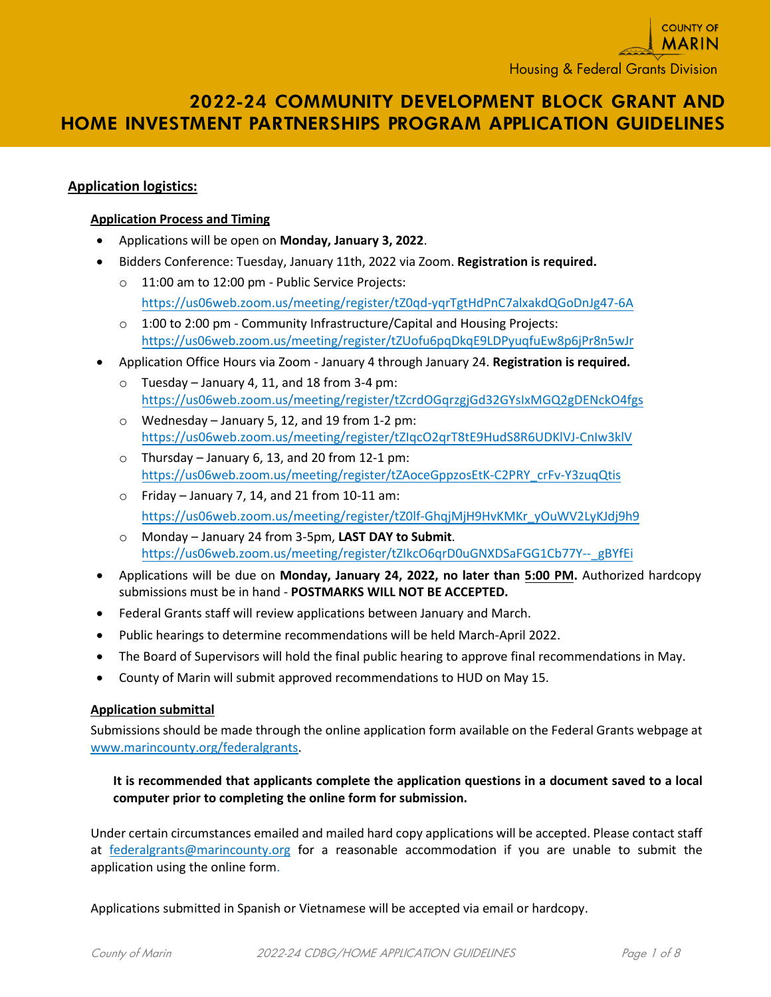# **2022-24 COMMUNITY DEVELOPMENT BLOCK GRANT AND HOME INVESTMENT PARTNERSHIPS PROGRAM APPLICATION GUIDELINES**

# **Application logistics:**

#### **Application Process and Timing**

- Applications will be open on **Monday, January 3, 2022**.
- Bidders Conference: Tuesday, January 11th, 2022 via Zoom. **Registration is required.**
	- o 11:00 am to 12:00 pm Public Service Projects: <https://us06web.zoom.us/meeting/register/tZ0qd-yqrTgtHdPnC7alxakdQGoDnJg47-6A>
	- o 1:00 to 2:00 pm Community Infrastructure/Capital and Housing Projects: <https://us06web.zoom.us/meeting/register/tZUofu6pqDkqE9LDPyuqfuEw8p6jPr8n5wJr>
- Application Office Hours via Zoom January 4 through January 24. **Registration is required.**
	- $\circ$  Tuesday January 4, 11, and 18 from 3-4 pm: <https://us06web.zoom.us/meeting/register/tZcrdOGqrzgjGd32GYsIxMGQ2gDENckO4fgs>
	- o Wednesday January 5, 12, and 19 from 1-2 pm: <https://us06web.zoom.us/meeting/register/tZIqcO2qrT8tE9HudS8R6UDKlVJ-CnIw3klV>
	- $\circ$  Thursday January 6, 13, and 20 from 12-1 pm: [https://us06web.zoom.us/meeting/register/tZAoceGppzosEtK-C2PRY\\_crFv-Y3zuqQtis](https://us06web.zoom.us/meeting/register/tZAoceGppzosEtK-C2PRY_crFv-Y3zuqQtis)
	- $\circ$  Friday January 7, 14, and 21 from 10-11 am: [https://us06web.zoom.us/meeting/register/tZ0lf-GhqjMjH9HvKMKr\\_yOuWV2LyKJdj9h9](https://us06web.zoom.us/meeting/register/tZ0lf-GhqjMjH9HvKMKr_yOuWV2LyKJdj9h9)
	- o Monday January 24 from 3-5pm, **LAST DAY to Submit**. https://us06web.zoom.us/meeting/register/tZIkcO6qrD0uGNXDSaFGG1Cb77Y--\_gBYfEi
- Applications will be due on **Monday, January 24, 2022, no later than 5:00 PM.** Authorized hardcopy submissions must be in hand - **POSTMARKS WILL NOT BE ACCEPTED.**
- Federal Grants staff will review applications between January and March.
- Public hearings to determine recommendations will be held March-April 2022.
- The Board of Supervisors will hold the final public hearing to approve final recommendations in May.
- County of Marin will submit approved recommendations to HUD on May 15.

#### **Application submittal**

Submissions should be made through the online application form available on the Federal Grants webpage at [www.marincounty.org/federalgrants.](http://www.marincounty.org/federalgrants)

## **It is recommended that applicants complete the application questions in a document saved to a local computer prior to completing the online form for submission.**

Under certain circumstances emailed and mailed hard copy applications will be accepted. Please contact staff at [federalgrants@marincounty.org](mailto:federalgrants@marincounty.org) for a reasonable accommodation if you are unable to submit the application using the online form.

Applications submitted in Spanish or Vietnamese will be accepted via email or hardcopy.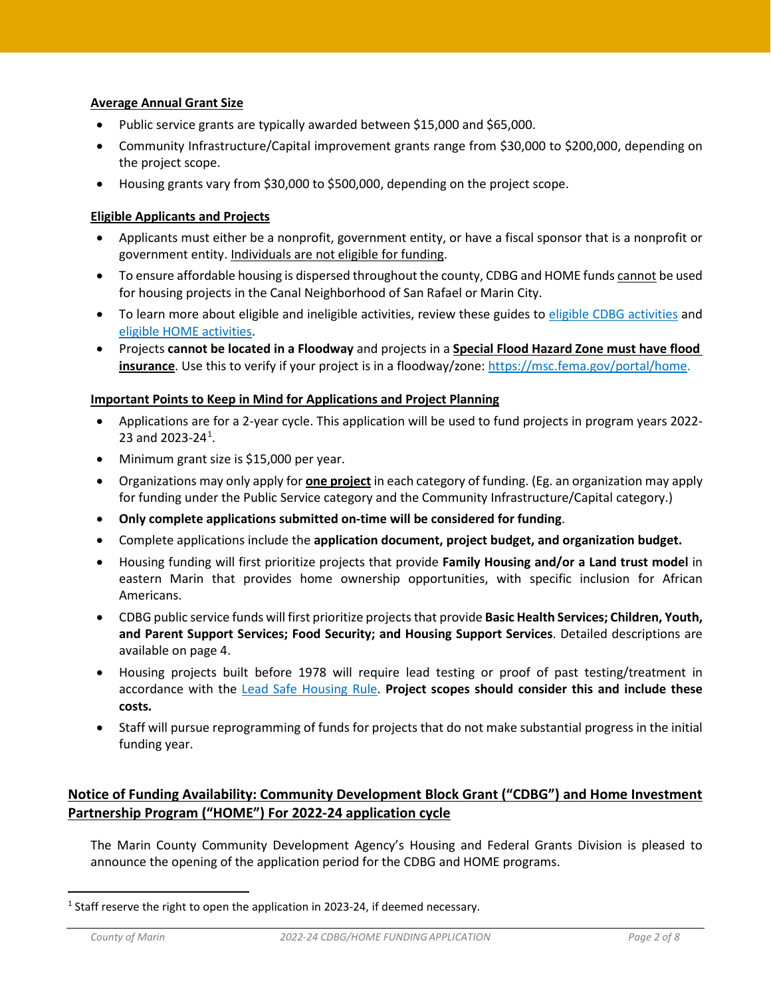#### **Average Annual Grant Size**

- Public service grants are typically awarded between \$15,000 and \$65,000.
- Community Infrastructure/Capital improvement grants range from \$30,000 to \$200,000, depending on the project scope.
- Housing grants vary from \$30,000 to \$500,000, depending on the project scope.

## **Eligible Applicants and Projects**

- Applicants must either be a nonprofit, government entity, or have a fiscal sponsor that is a nonprofit or government entity. Individuals are not eligible for funding.
- To ensure affordable housing is dispersed throughout the county, CDBG and HOME funds cannot be used for housing projects in the Canal Neighborhood of San Rafael or Marin City.
- To learn more about eligible and ineligible activities, review these guides to [eligible CDBG activities](https://www.hudexchange.info/resource/89/community-development-block-grant-program-cdbg-guide-to-national-objectives-and-eligible-activities-for-entitlement-communities/) and [eligible HOME activities.](https://www.hudexchange.info/resources/documents/HOME-CDBGGuidebook.pdf)
- Projects **cannot be located in a Floodway** and projects in a **Special Flood Hazard Zone must have flood insurance**. Use this to verify if your project is in a floodway/zone: [https://msc.fema.gov/portal/home.](https://msc.fema.gov/portal/home)

#### **Important Points to Keep in Mind for Applications and Project Planning**

- Applications are for a 2-year cycle. This application will be used to fund projects in program years 2022- 23 and 2023-24<sup>[1](#page-12-0)</sup>.
- Minimum grant size is \$15,000 per year.
- Organizations may only apply for **one project** in each category of funding. (Eg. an organization may apply for funding under the Public Service category and the Community Infrastructure/Capital category.)
- **Only complete applications submitted on-time will be considered for funding**.
- Complete applications include the **application document, project budget, and organization budget.**
- Housing funding will first prioritize projects that provide **Family Housing and/or a Land trust model** in eastern Marin that provides home ownership opportunities, with specific inclusion for African Americans.
- CDBG public service funds will first prioritize projects that provide **Basic Health Services; Children, Youth, and Parent Support Services; Food Security; and Housing Support Services**. Detailed descriptions are available on page 4.
- Housing projects built before 1978 will require lead testing or proof of past testing/treatment in accordance with the [Lead Safe Housing Rule.](https://www.hudexchange.info/programs/lead-based-paint/lshr-toolkit/introduction/?utm_source=HUD+Exchange+Mailing+List&utm_campaign=efb1c21d86-New_Lead_Safe_Housing_Rule_Toolkit&utm_medium=email&utm_term=0_f32b935a5f-efb1c21d86-19449209) **Project scopes should consider this and include these costs.**
- Staff will pursue reprogramming of funds for projects that do not make substantial progress in the initial funding year.

# **Notice of Funding Availability: Community Development Block Grant ("CDBG") and Home Investment Partnership Program ("HOME") For 2022-24 application cycle**

The Marin County Community Development Agency's Housing and Federal Grants Division is pleased to announce the opening of the application period for the CDBG and HOME programs.

<span id="page-12-0"></span><sup>&</sup>lt;sup>1</sup> Staff reserve the right to open the application in 2023-24, if deemed necessary.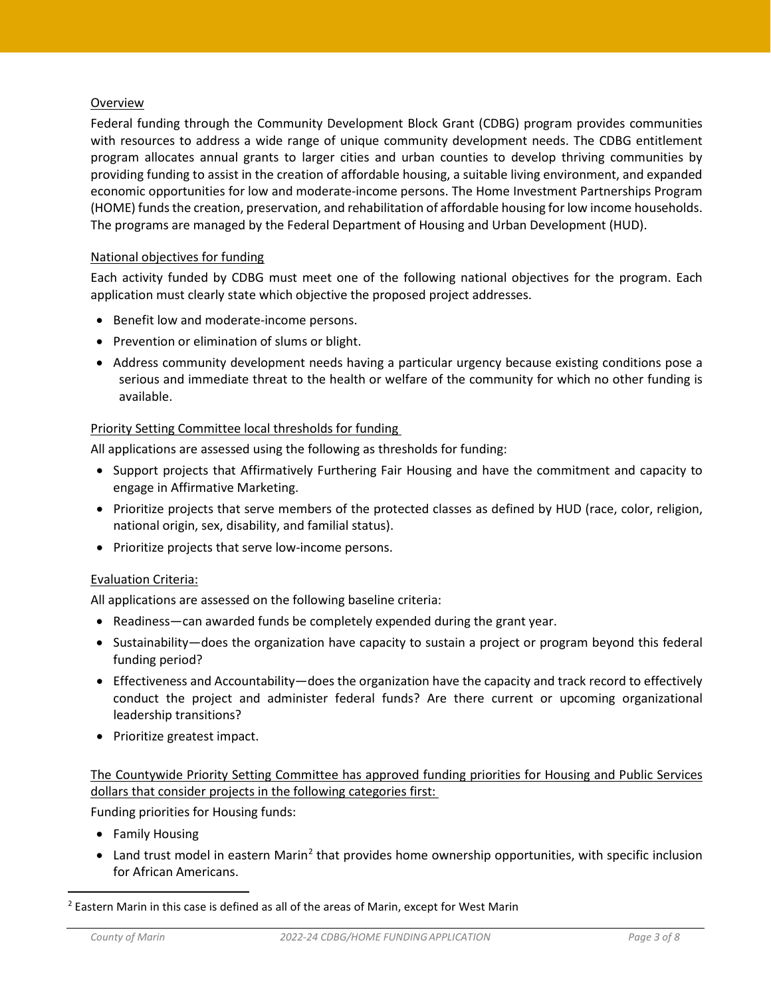## **Overview**

Federal funding through the Community Development Block Grant (CDBG) program provides communities with resources to address a wide range of unique community development needs. The CDBG entitlement program allocates annual grants to larger cities and urban counties to develop thriving communities by providing funding to assist in the creation of affordable housing, a suitable living environment, and expanded economic opportunities for low and moderate-income persons. The Home Investment Partnerships Program (HOME) funds the creation, preservation, and rehabilitation of affordable housing for low income households. The programs are managed by the Federal Department of Housing and Urban Development (HUD).

## National objectives for funding

Each activity funded by CDBG must meet one of the following national objectives for the program. Each application must clearly state which objective the proposed project addresses.

- Benefit low and moderate-income persons.
- Prevention or elimination of slums or blight.
- Address community development needs having a particular urgency because existing conditions pose a serious and immediate threat to the health or welfare of the community for which no other funding is available.

#### Priority Setting Committee local thresholds for funding

All applications are assessed using the following as thresholds for funding:

- Support projects that Affirmatively Furthering Fair Housing and have the commitment and capacity to engage in Affirmative Marketing.
- Prioritize projects that serve members of the protected classes as defined by HUD (race, color, religion, national origin, sex, disability, and familial status).
- Prioritize projects that serve low-income persons.

#### Evaluation Criteria:

All applications are assessed on the following baseline criteria:

- Readiness—can awarded funds be completely expended during the grant year.
- Sustainability—does the organization have capacity to sustain a project or program beyond this federal funding period?
- Effectiveness and Accountability—does the organization have the capacity and track record to effectively conduct the project and administer federal funds? Are there current or upcoming organizational leadership transitions?
- Prioritize greatest impact.

## The Countywide Priority Setting Committee has approved funding priorities for Housing and Public Services dollars that consider projects in the following categories first:

Funding priorities for Housing funds:

- Family Housing
- Land trust model in eastern Marin<sup>[2](#page-13-0)</sup> that provides home ownership opportunities, with specific inclusion for African Americans.

<span id="page-13-0"></span><sup>&</sup>lt;sup>2</sup> Eastern Marin in this case is defined as all of the areas of Marin, except for West Marin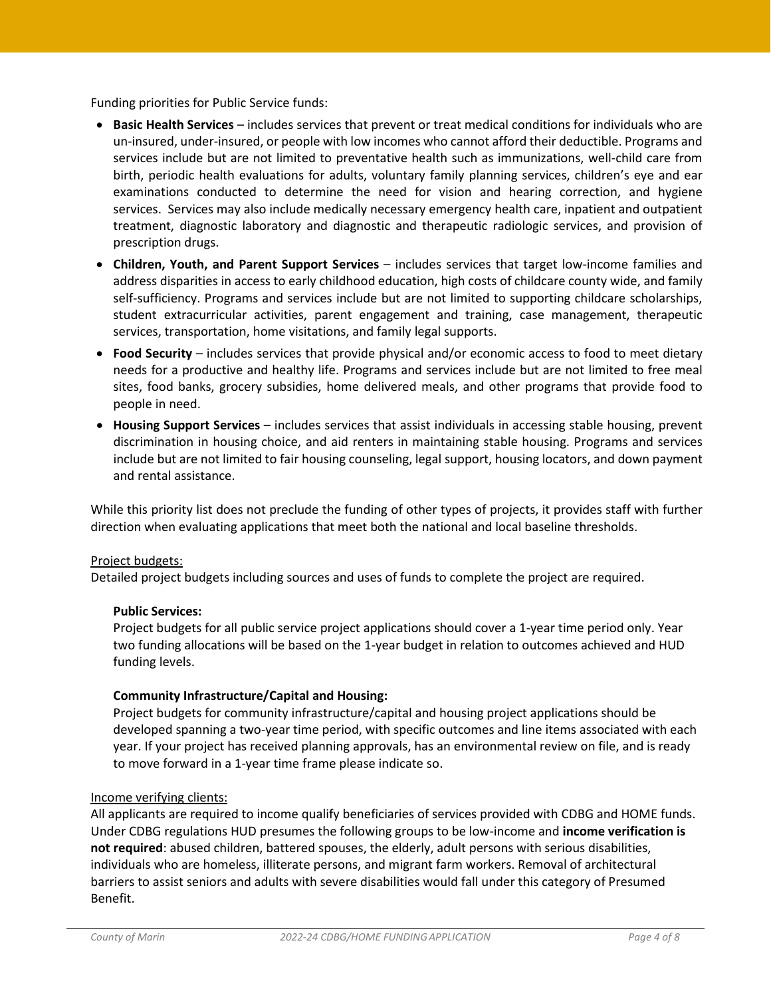Funding priorities for Public Service funds:

- **Basic Health Services** includes services that prevent or treat medical conditions for individuals who are un-insured, under-insured, or people with low incomes who cannot afford their deductible. Programs and services include but are not limited to preventative health such as immunizations, well-child care from birth, periodic health evaluations for adults, voluntary family planning services, children's eye and ear examinations conducted to determine the need for vision and hearing correction, and hygiene services. Services may also include medically necessary emergency health care, inpatient and outpatient treatment, diagnostic laboratory and diagnostic and therapeutic radiologic services, and provision of prescription drugs.
- **Children, Youth, and Parent Support Services** includes services that target low-income families and address disparities in access to early childhood education, high costs of childcare county wide, and family self-sufficiency. Programs and services include but are not limited to supporting childcare scholarships, student extracurricular activities, parent engagement and training, case management, therapeutic services, transportation, home visitations, and family legal supports.
- **Food Security** includes services that provide physical and/or economic access to food to meet dietary needs for a productive and healthy life. Programs and services include but are not limited to free meal sites, food banks, grocery subsidies, home delivered meals, and other programs that provide food to people in need.
- **Housing Support Services** includes services that assist individuals in accessing stable housing, prevent discrimination in housing choice, and aid renters in maintaining stable housing. Programs and services include but are not limited to fair housing counseling, legal support, housing locators, and down payment and rental assistance.

While this priority list does not preclude the funding of other types of projects, it provides staff with further direction when evaluating applications that meet both the national and local baseline thresholds.

#### Project budgets:

Detailed project budgets including sources and uses of funds to complete the project are required.

#### **Public Services:**

Project budgets for all public service project applications should cover a 1-year time period only. Year two funding allocations will be based on the 1-year budget in relation to outcomes achieved and HUD funding levels.

#### **Community Infrastructure/Capital and Housing:**

Project budgets for community infrastructure/capital and housing project applications should be developed spanning a two-year time period, with specific outcomes and line items associated with each year. If your project has received planning approvals, has an environmental review on file, and is ready to move forward in a 1-year time frame please indicate so.

#### Income verifying clients:

All applicants are required to income qualify beneficiaries of services provided with CDBG and HOME funds. Under CDBG regulations HUD presumes the following groups to be low-income and **income verification is not required**: abused children, battered spouses, the elderly, adult persons with serious disabilities, individuals who are homeless, illiterate persons, and migrant farm workers. Removal of architectural barriers to assist seniors and adults with severe disabilities would fall under this category of Presumed Benefit.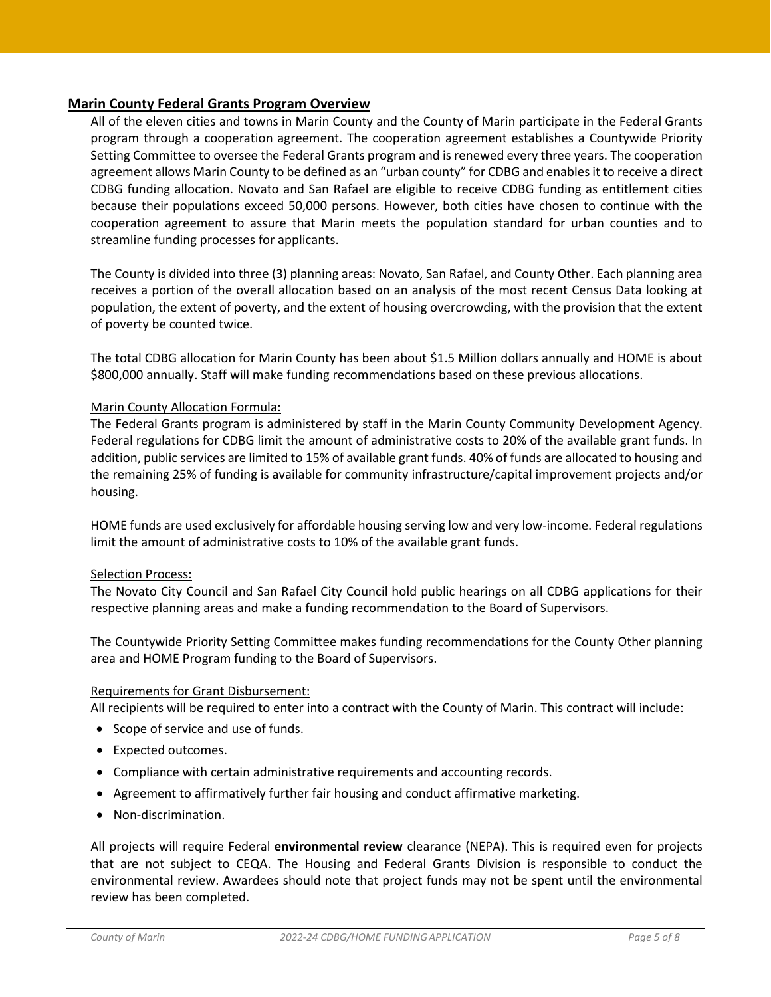## **Marin County Federal Grants Program Overview**

All of the eleven cities and towns in Marin County and the County of Marin participate in the Federal Grants program through a cooperation agreement. The cooperation agreement establishes a Countywide Priority Setting Committee to oversee the Federal Grants program and is renewed every three years. The cooperation agreement allows Marin County to be defined as an "urban county" for CDBG and enables it to receive a direct CDBG funding allocation. Novato and San Rafael are eligible to receive CDBG funding as entitlement cities because their populations exceed 50,000 persons. However, both cities have chosen to continue with the cooperation agreement to assure that Marin meets the population standard for urban counties and to streamline funding processes for applicants.

The County is divided into three (3) planning areas: Novato, San Rafael, and County Other. Each planning area receives a portion of the overall allocation based on an analysis of the most recent Census Data looking at population, the extent of poverty, and the extent of housing overcrowding, with the provision that the extent of poverty be counted twice.

The total CDBG allocation for Marin County has been about \$1.5 Million dollars annually and HOME is about \$800,000 annually. Staff will make funding recommendations based on these previous allocations.

#### Marin County Allocation Formula:

The Federal Grants program is administered by staff in the Marin County Community Development Agency. Federal regulations for CDBG limit the amount of administrative costs to 20% of the available grant funds. In addition, public services are limited to 15% of available grant funds. 40% of funds are allocated to housing and the remaining 25% of funding is available for community infrastructure/capital improvement projects and/or housing.

HOME funds are used exclusively for affordable housing serving low and very low-income. Federal regulations limit the amount of administrative costs to 10% of the available grant funds.

#### Selection Process:

The Novato City Council and San Rafael City Council hold public hearings on all CDBG applications for their respective planning areas and make a funding recommendation to the Board of Supervisors.

The Countywide Priority Setting Committee makes funding recommendations for the County Other planning area and HOME Program funding to the Board of Supervisors.

#### Requirements for Grant Disbursement:

All recipients will be required to enter into a contract with the County of Marin. This contract will include:

- Scope of service and use of funds.
- Expected outcomes.
- Compliance with certain administrative requirements and accounting records.
- Agreement to affirmatively further fair housing and conduct affirmative marketing.
- Non-discrimination.

All projects will require Federal **environmental review** clearance (NEPA). This is required even for projects that are not subject to CEQA. The Housing and Federal Grants Division is responsible to conduct the environmental review. Awardees should note that project funds may not be spent until the environmental review has been completed.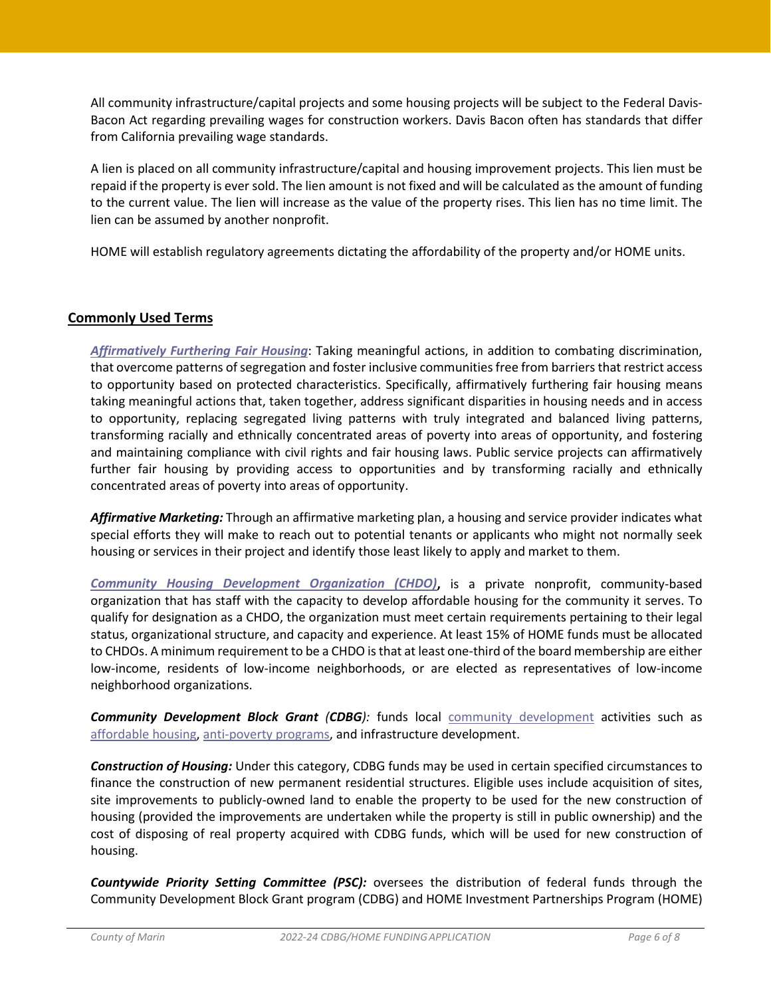All community infrastructure/capital projects and some housing projects will be subject to the Federal Davis-Bacon Act regarding prevailing wages for construction workers. Davis Bacon often has standards that differ from California prevailing wage standards.

A lien is placed on all community infrastructure/capital and housing improvement projects. This lien must be repaid if the property is ever sold. The lien amount is not fixed and will be calculated as the amount of funding to the current value. The lien will increase as the value of the property rises. This lien has no time limit. The lien can be assumed by another nonprofit.

HOME will establish regulatory agreements dictating the affordability of the property and/or HOME units.

#### **Commonly Used Terms**

*[Affirmatively Furthering Fair Housing](https://www.hudexchange.info/programs/affh/)*: Taking meaningful actions, in addition to combating discrimination, that overcome patterns of segregation and foster inclusive communities free from barriers that restrict access to opportunity based on protected characteristics. Specifically, affirmatively furthering fair housing means taking meaningful actions that, taken together, address significant disparities in housing needs and in access to opportunity, replacing segregated living patterns with truly integrated and balanced living patterns, transforming racially and ethnically concentrated areas of poverty into areas of opportunity, and fostering and maintaining compliance with civil rights and fair housing laws. Public service projects can affirmatively further fair housing by providing access to opportunities and by transforming racially and ethnically concentrated areas of poverty into areas of opportunity.

*Affirmative Marketing:* Through an affirmative marketing plan, a housing and service provider indicates what special efforts they will make to reach out to potential tenants or applicants who might not normally seek housing or services in their project and identify those least likely to apply and market to them.

*[Community Housing Development Organization \(CHDO\)](https://www.hudexchange.info/programs/home/home-chdo/#policy-guidance)***,** is a private nonprofit, community-based organization that has staff with the capacity to develop affordable housing for the community it serves. To qualify for designation as a CHDO, the organization must meet certain requirements pertaining to their legal status, organizational structure, and capacity and experience. At least 15% of HOME funds must be allocated to CHDOs. A minimum requirement to be a CHDO is that at least one-third of the board membership are either low-income, residents of low-income neighborhoods, or are elected as representatives of low-income neighborhood organizations.

*Community Development Block Grant (CDBG):* funds local [community development](https://en.wikipedia.org/wiki/Community_development) activities such as [affordable housing,](https://en.wikipedia.org/wiki/Affordable_housing) [anti-poverty programs,](https://en.wikipedia.org/wiki/Poverty_reduction) and infrastructure development.

*Construction of Housing:* Under this category, CDBG funds may be used in certain specified circumstances to finance the construction of new permanent residential structures. Eligible uses include acquisition of sites, site improvements to publicly-owned land to enable the property to be used for the new construction of housing (provided the improvements are undertaken while the property is still in public ownership) and the cost of disposing of real property acquired with CDBG funds, which will be used for new construction of housing.

*Countywide Priority Setting Committee (PSC):* oversees the distribution of federal funds through the Community Development Block Grant program (CDBG) and HOME Investment Partnerships Program (HOME)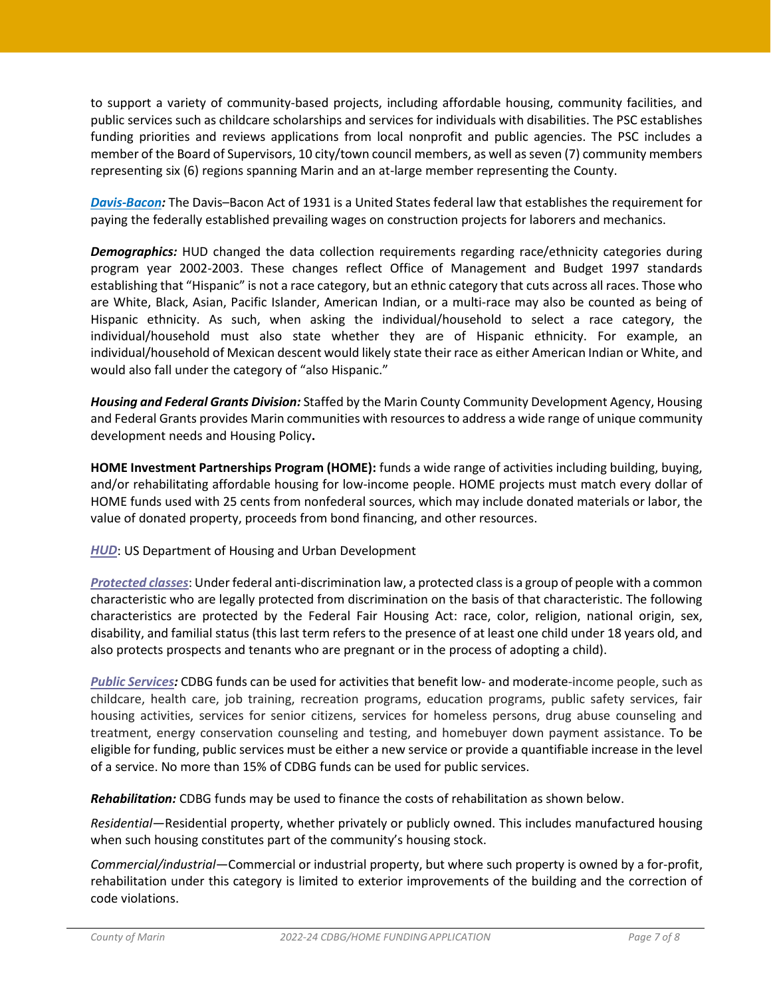to support a variety of community-based projects, including affordable housing, community facilities, and public services such as childcare scholarships and services for individuals with disabilities. The PSC establishes funding priorities and reviews applications from local nonprofit and public agencies. The PSC includes a member of the Board of Supervisors, 10 city/town council members, as well as seven (7) community members representing six (6) regions spanning Marin and an at-large member representing the County.

*[Davis-Bacon:](https://www.hud.gov/sites/documents/4812-LRGUIDE.PDF)* The Davis–Bacon Act of 1931 is a United States federal law that establishes the requirement for paying the federally established prevailing wages on construction projects for laborers and mechanics.

*Demographics:* HUD changed the data collection requirements regarding race/ethnicity categories during program year 2002-2003. These changes reflect Office of Management and Budget 1997 standards establishing that "Hispanic" is not a race category, but an ethnic category that cuts across all races. Those who are White, Black, Asian, Pacific Islander, American Indian, or a multi-race may also be counted as being of Hispanic ethnicity. As such, when asking the individual/household to select a race category, the individual/household must also state whether they are of Hispanic ethnicity. For example, an individual/household of Mexican descent would likely state their race as either American Indian or White, and would also fall under the category of "also Hispanic."

*Housing and Federal Grants Division:* Staffed by the Marin County Community Development Agency, Housing and Federal Grants provides Marin communities with resources to address a wide range of unique community development needs and Housing Policy**.** 

**HOME Investment Partnerships Program (HOME):** funds a wide range of activities including building, buying, and/or rehabilitating affordable housing for low-income people. HOME projects must match every dollar of HOME funds used with 25 cents from nonfederal sources, which may include donated materials or labor, the value of donated property, proceeds from bond financing, and other resources.

#### *[HUD](https://www.hud.gov/)*: US Department of Housing and Urban Development

*[Protected classes](https://en.wikipedia.org/wiki/Fair_Housing_Act)*: Under federal anti-discrimination law, a protected class is a group of people with a common characteristic who are legally protected from discrimination on the basis of that characteristic. The following characteristics are protected by the Federal Fair Housing Act: race, color, religion, national origin, sex, disability, and familial status (this last term refers to the presence of at least one child under 18 years old, and also protects prospects and tenants who are pregnant or in the process of adopting a child).

*[Public Services:](https://www.hudexchange.info/onecpd/assets/File/Basically-CDBG-State-Chapter-7-Public-Services.pdf)* CDBG funds can be used for activities that benefit low- and moderate-income people, such as childcare, health care, job training, recreation programs, education programs, public safety services, fair housing activities, services for senior citizens, services for homeless persons, drug abuse counseling and treatment, energy conservation counseling and testing, and homebuyer down payment assistance. To be eligible for funding, public services must be either a new service or provide a quantifiable increase in the level of a service. No more than 15% of CDBG funds can be used for public services.

*Rehabilitation:* CDBG funds may be used to finance the costs of rehabilitation as shown below.

*Residential*—Residential property, whether privately or publicly owned. This includes manufactured housing when such housing constitutes part of the community's housing stock.

*Commercial/industrial*—Commercial or industrial property, but where such property is owned by a for-profit, rehabilitation under this category is limited to exterior improvements of the building and the correction of code violations.